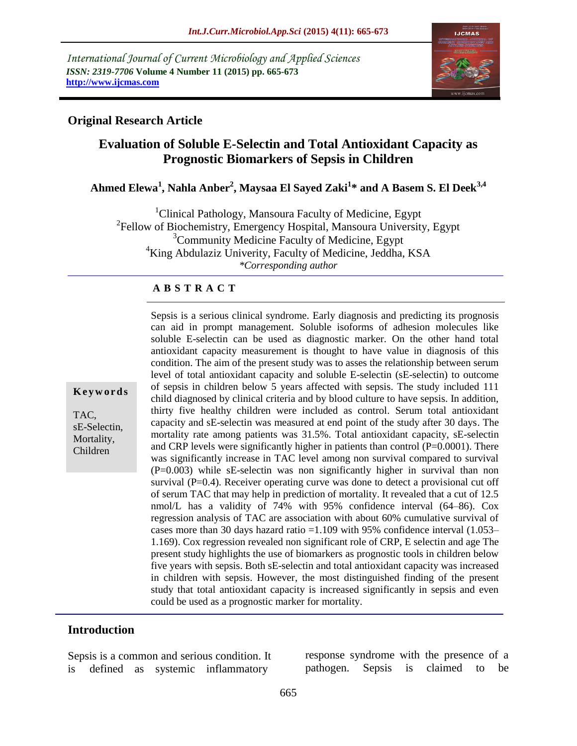*International Journal of Current Microbiology and Applied Sciences ISSN: 2319-7706* **Volume 4 Number 11 (2015) pp. 665-673 http://www.ijcmas.com**



### **Original Research Article**

# **Evaluation of Soluble E-Selectin and Total Antioxidant Capacity as Prognostic Biomarkers of Sepsis in Children**

# **Ahmed Elewa<sup>1</sup> , Nahla Anber<sup>2</sup> , Maysaa El Sayed Zaki<sup>1</sup> \* and A Basem S. El Deek3,4**

<sup>1</sup>Clinical Pathology, Mansoura Faculty of Medicine, Egypt <sup>2</sup>Fellow of Biochemistry, Emergency Hospital, Mansoura University, Egypt <sup>3</sup>Community Medicine Faculty of Medicine, Egypt <sup>4</sup>King Abdulaziz Univerity, Faculty of Medicine, Jeddha, KSA *\*Corresponding author*

#### **A B S T R A C T**

**K e y w o r d s**

TAC, sE-Selectin, Mortality, Children

Sepsis is a serious clinical syndrome. Early diagnosis and predicting its prognosis can aid in prompt management. Soluble isoforms of adhesion molecules like soluble E-selectin can be used as diagnostic marker. On the other hand total antioxidant capacity measurement is thought to have value in diagnosis of this condition. The aim of the present study was to asses the relationship between serum level of total antioxidant capacity and soluble E-selectin (sE-selectin) to outcome of sepsis in children below 5 years affected with sepsis. The study included 111 child diagnosed by clinical criteria and by blood culture to have sepsis. In addition, thirty five healthy children were included as control. Serum total antioxidant capacity and sE-selectin was measured at end point of the study after 30 days. The mortality rate among patients was 31.5%. Total antioxidant capacity, sE-selectin and CRP levels were significantly higher in patients than control  $(P=0.0001)$ . There was significantly increase in TAC level among non survival compared to survival (P=0.003) while sE-selectin was non significantly higher in survival than non survival  $(P=0.4)$ . Receiver operating curve was done to detect a provisional cut off of serum TAC that may help in prediction of mortality. It revealed that a cut of 12.5 nmol/L has a validity of 74% with 95% confidence interval (64–86). Cox regression analysis of TAC are association with about 60% cumulative survival of cases more than 30 days hazard ratio  $=1.109$  with 95% confidence interval (1.053– 1.169). Cox regression revealed non significant role of CRP, E selectin and age The present study highlights the use of biomarkers as prognostic tools in children below five years with sepsis. Both sE-selectin and total antioxidant capacity was increased in children with sepsis. However, the most distinguished finding of the present study that total antioxidant capacity is increased significantly in sepsis and even could be used as a prognostic marker for mortality.

#### **Introduction**

Sepsis is a common and serious condition. It is defined as systemic inflammatory

response syndrome with the presence of a pathogen. Sepsis is claimed to be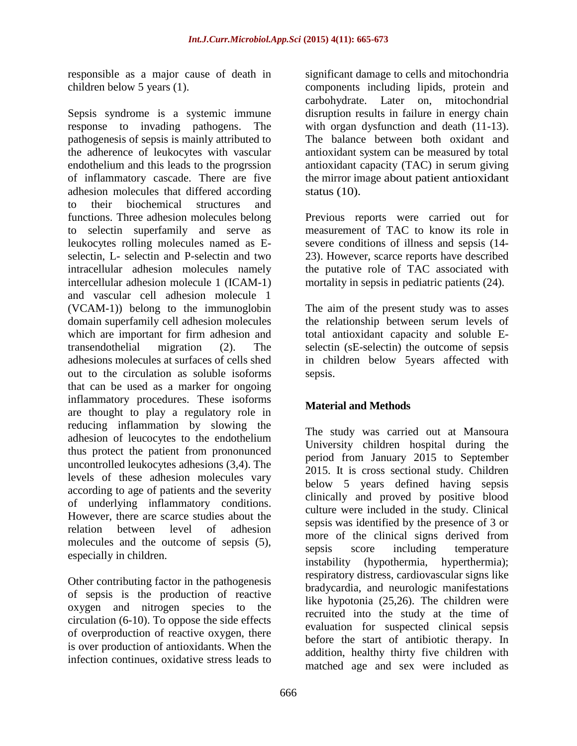responsible as a major cause of death in children below 5 years (1).

Sepsis syndrome is a systemic immune response to invading pathogens. The pathogenesis of sepsis is mainly attributed to the adherence of leukocytes with vascular endothelium and this leads to the progrssion of inflammatory cascade. There are five adhesion molecules that differed according to their biochemical structures and functions. Three adhesion molecules belong to selectin superfamily and serve as leukocytes rolling molecules named as Eselectin,  $L<sub>z</sub>$  selectin and P-selectin and two intracellular adhesion molecules namely intercellular adhesion molecule 1 (ICAM-1) and vascular cell adhesion molecule 1 (VCAM-1)) belong to the immunoglobin domain superfamily cell adhesion molecules which are important for firm adhesion and transendothelial migration (2). The adhesions molecules at surfaces of cells shed out to the circulation as soluble isoforms that can be used as a marker for ongoing inflammatory procedures. These isoforms are thought to play a regulatory role in reducing inflammation by slowing the adhesion of leucocytes to the endothelium thus protect the patient from prononunced uncontrolled leukocytes adhesions (3,4). The levels of these adhesion molecules vary according to age of patients and the severity of underlying inflammatory conditions. However, there are scarce studies about the relation between level of adhesion molecules and the outcome of sepsis (5), especially in children.

Other contributing factor in the pathogenesis of sepsis is the production of reactive oxygen and nitrogen species to the circulation (6-10). To oppose the side effects of overproduction of reactive oxygen, there is over production of antioxidants. When the infection continues, oxidative stress leads to

significant damage to cells and mitochondria components including lipids, protein and carbohydrate. Later on, mitochondrial disruption results in failure in energy chain with organ dysfunction and death  $(11-13)$ . The balance between both oxidant and antioxidant system can be measured by total antioxidant capacity (TAC) in serum giving the mirror image about patient antioxidant status (10).

Previous reports were carried out for measurement of TAC to know its role in severe conditions of illness and sepsis (14- 23). However, scarce reports have described the putative role of TAC associated with mortality in sepsis in pediatric patients (24).

The aim of the present study was to asses the relationship between serum levels of total antioxidant capacity and soluble Eselectin (sE-selectin) the outcome of sepsis in children below 5years affected with sepsis.

## **Material and Methods**

The study was carried out at Mansoura University children hospital during the period from January 2015 to September 2015. It is cross sectional study. Children below 5 years defined having sepsis clinically and proved by positive blood culture were included in the study. Clinical sepsis was identified by the presence of 3 or more of the clinical signs derived from sepsis score including temperature instability (hypothermia, hyperthermia); respiratory distress, cardiovascular signs like bradycardia, and neurologic manifestations like hypotonia (25,26). The children were recruited into the study at the time of evaluation for suspected clinical sepsis before the start of antibiotic therapy. In addition, healthy thirty five children with matched age and sex were included as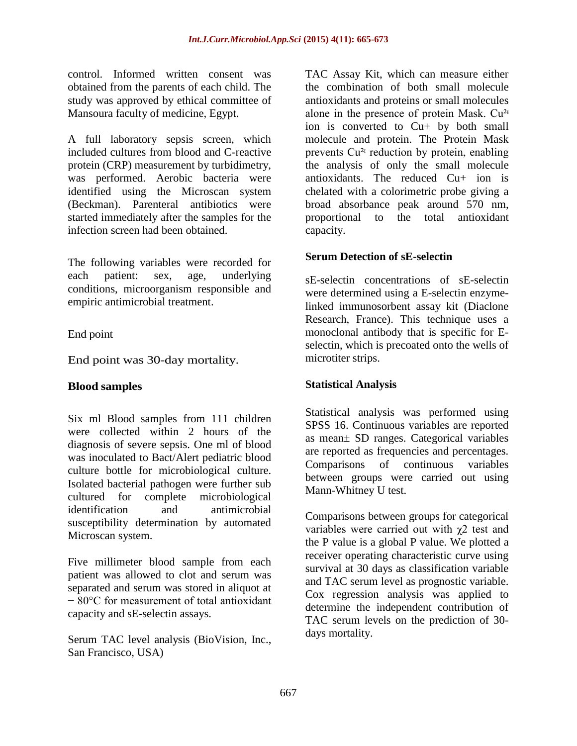control. Informed written consent was obtained from the parents of each child. The study was approved by ethical committee of Mansoura faculty of medicine, Egypt.

A full laboratory sepsis screen, which included cultures from blood and C-reactive protein (CRP) measurement by turbidimetry, was performed. Aerobic bacteria were identified using the Microscan system (Beckman). Parenteral antibiotics were started immediately after the samples for the infection screen had been obtained.

The following variables were recorded for each patient: sex, age, underlying conditions, microorganism responsible and empiric antimicrobial treatment.

#### End point

End point was 30-day mortality.

#### **Blood samples**

Six ml Blood samples from 111 children were collected within 2 hours of the diagnosis of severe sepsis. One ml of blood was inoculated to Bact/Alert pediatric blood culture bottle for microbiological culture. Isolated bacterial pathogen were further sub cultured for complete microbiological identification and antimicrobial susceptibility determination by automated Microscan system.

Five millimeter blood sample from each patient was allowed to clot and serum was separated and serum was stored in aliquot at − 80°C for measurement of total antioxidant capacity and sE-selectin assays.

Serum TAC level analysis (BioVision, Inc., San Francisco, USA)

TAC Assay Kit, which can measure either the combination of both small molecule antioxidants and proteins or small molecules alone in the presence of protein Mask.  $Cu^{2}$ ion is converted to Cu+ by both small molecule and protein. The Protein Mask prevents  $Cu^{2}$  reduction by protein, enabling the analysis of only the small molecule antioxidants. The reduced Cu+ ion is chelated with a colorimetric probe giving a broad absorbance peak around 570 nm, proportional to the total antioxidant capacity.

#### **Serum Detection of sE-selectin**

sE-selectin concentrations of sE-selectin were determined using a E-selectin enzymelinked immunosorbent assay kit (Diaclone Research, France). This technique uses a monoclonal antibody that is specific for Eselectin, which is precoated onto the wells of microtiter strips.

#### **Statistical Analysis**

Statistical analysis was performed using SPSS 16. Continuous variables are reported as mean± SD ranges. Categorical variables are reported as frequencies and percentages. Comparisons of continuous variables between groups were carried out using Mann-Whitney U test.

Comparisons between groups for categorical variables were carried out with χ2 test and the P value is a global P value. We plotted a receiver operating characteristic curve using survival at 30 days as classification variable and TAC serum level as prognostic variable. Cox regression analysis was applied to determine the independent contribution of TAC serum levels on the prediction of 30 days mortality.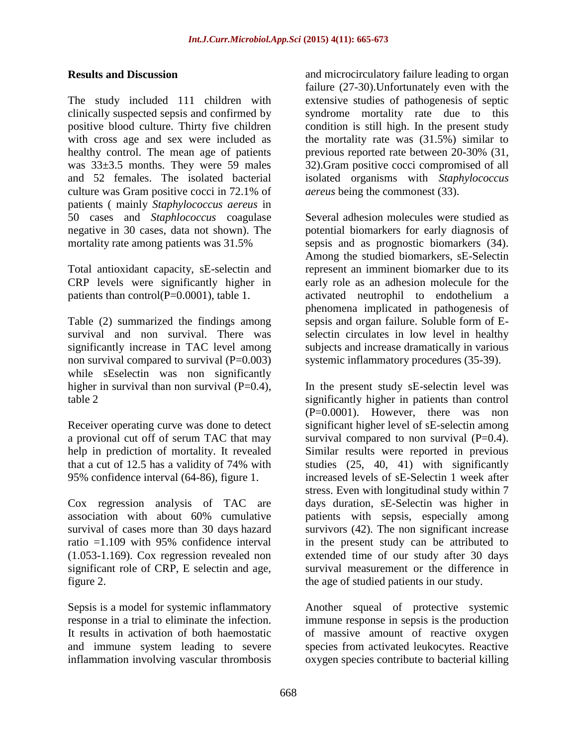#### **Results and Discussion**

The study included 111 children with clinically suspected sepsis and confirmed by positive blood culture. Thirty five children with cross age and sex were included as healthy control. The mean age of patients was 33±3.5 months. They were 59 males and 52 females. The isolated bacterial culture was Gram positive cocci in 72.1% of patients ( mainly *Staphylococcus aereus* in 50 cases and *Staphlococcus* coagulase negative in 30 cases, data not shown). The mortality rate among patients was 31.5%

Total antioxidant capacity, sE-selectin and CRP levels were significantly higher in patients than control(P=0.0001), table 1.

Table (2) summarized the findings among survival and non survival. There was significantly increase in TAC level among non survival compared to survival  $(P=0.003)$ while sEselectin was non significantly higher in survival than non survival  $(P=0.4)$ , table 2

Receiver operating curve was done to detect a provional cut off of serum TAC that may help in prediction of mortality. It revealed that a cut of 12.5 has a validity of 74% with 95% confidence interval (64-86), figure 1.

Cox regression analysis of TAC are association with about 60% cumulative survival of cases more than 30 days hazard ratio =1.109 with 95% confidence interval (1.053-1.169). Cox regression revealed non significant role of CRP, E selectin and age, figure 2.

Sepsis is a model for systemic inflammatory response in a trial to eliminate the infection. It results in activation of both haemostatic and immune system leading to severe inflammation involving vascular thrombosis and microcirculatory failure leading to organ failure (27-30).Unfortunately even with the extensive studies of pathogenesis of septic syndrome mortality rate due to this condition is still high. In the present study the mortality rate was (31.5%) similar to previous reported rate between 20-30% (31, 32).Gram positive cocci compromised of all isolated organisms with *Staphylococcus aereus* being the commonest (33).

Several adhesion molecules were studied as potential biomarkers for early diagnosis of sepsis and as prognostic biomarkers (34). Among the studied biomarkers, sE-Selectin represent an imminent biomarker due to its early role as an adhesion molecule for the activated neutrophil to endothelium a phenomena implicated in pathogenesis of sepsis and organ failure. Soluble form of Eselectin circulates in low level in healthy subjects and increase dramatically in various systemic inflammatory procedures (35-39).

In the present study sE-selectin level was significantly higher in patients than control (P=0.0001). However, there was non significant higher level of sE-selectin among survival compared to non survival  $(P=0.4)$ . Similar results were reported in previous studies (25, 40, 41) with significantly increased levels of sE-Selectin 1 week after stress. Even with longitudinal study within 7 days duration, sE-Selectin was higher in patients with sepsis, especially among survivors (42). The non significant increase in the present study can be attributed to extended time of our study after 30 days survival measurement or the difference in the age of studied patients in our study.

Another squeal of protective systemic immune response in sepsis is the production of massive amount of reactive oxygen species from activated leukocytes. Reactive oxygen species contribute to bacterial killing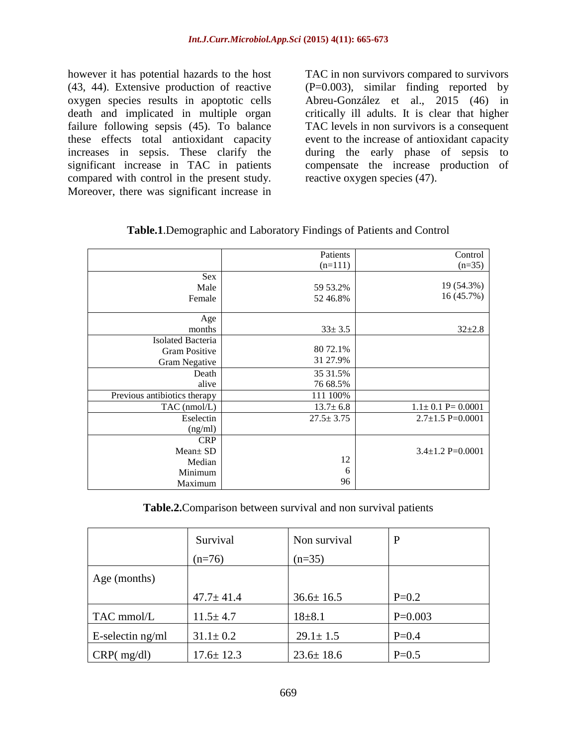however it has potential hazards to the host (43, 44). Extensive production of reactive oxygen species results in apoptotic cells death and implicated in multiple organ failure following sepsis (45). To balance these effects total antioxidant capacity increases in sepsis. These clarify the significant increase in TAC in patients compared with control in the present study. Moreover, there was significant increase in

TAC in non survivors compared to survivors (P=0.003), similar finding reported by Abreu-González et al., 2015 (46) in critically ill adults. It is clear that higher TAC levels in non survivors is a consequent event to the increase of antioxidant capacity during the early phase of sepsis to compensate the increase production of reactive oxygen species (47).

|                              | Patients        | Control                 |
|------------------------------|-----------------|-------------------------|
|                              | $(n=111)$       | $(n=35)$                |
| <b>Sex</b>                   |                 |                         |
| Male                         | 59 53.2%        | 19 (54.3%)              |
| Female                       | 52 46.8%        | 16 (45.7%)              |
|                              |                 |                         |
| Age                          |                 |                         |
| months                       | $33 \pm 3.5$    | $32+2.8$                |
| Isolated Bacteria            |                 |                         |
| <b>Gram Positive</b>         | 80 72.1%        |                         |
| Gram Negative                | 31 27.9%        |                         |
| Death                        | 35 31.5%        |                         |
| alive                        | 76 68.5%        |                         |
| Previous antibiotics therapy | 111 100%        |                         |
| $TAC$ (nmol/L)               | $13.7 \pm 6.8$  | $1.1 \pm 0.1$ P= 0.0001 |
| Eselectin                    | $27.5 \pm 3.75$ | $2.7 \pm 1.5$ P=0.0001  |
| (ng/ml)                      |                 |                         |
| <b>CRP</b>                   |                 |                         |
| $Mean \pm SD$                |                 | $3.4 \pm 1.2$ P=0.0001  |
| Median                       | 12              |                         |
| Minimum                      | 6               |                         |
| Maximum                      | 96              |                         |

**Table.1**.Demographic and Laboratory Findings of Patients and Control

**Table.2.**Comparison between survival and non survival patients

|                  | Survival        | Non survival    | P         |
|------------------|-----------------|-----------------|-----------|
|                  | $(n=76)$        | $(n=35)$        |           |
| Age (months)     |                 |                 |           |
|                  | $47.7 \pm 41.4$ | $36.6 \pm 16.5$ | $P=0.2$   |
| TAC mmol/L       | $11.5 \pm 4.7$  | $18 + 8.1$      | $P=0.003$ |
| E-selectin ng/ml | $31.1 \pm 0.2$  | $29.1 \pm 1.5$  | $P=0.4$   |
| CRP(mg/dl)       | $17.6 \pm 12.3$ | $23.6 \pm 18.6$ | $P=0.5$   |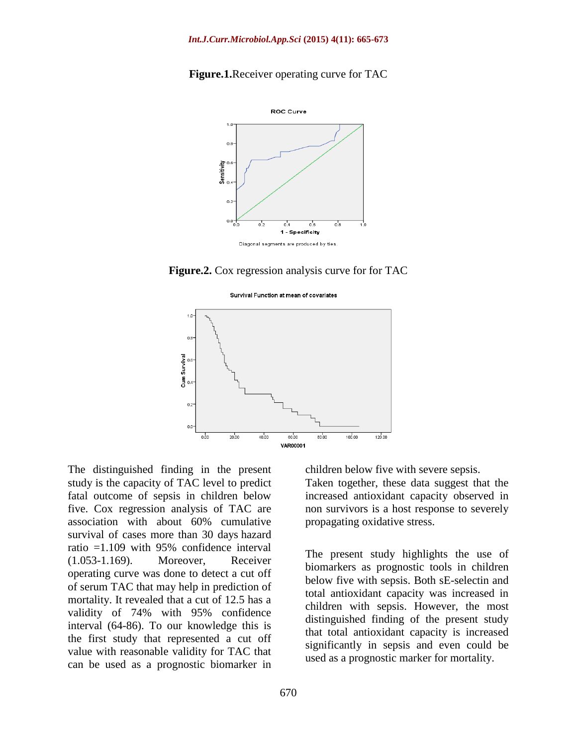



**Figure.2.** Cox regression analysis curve for for TAC

**Survival Eunction at mean of covariates** 



The distinguished finding in the present study is the capacity of TAC level to predict fatal outcome of sepsis in children below five. Cox regression analysis of TAC are association with about 60% cumulative survival of cases more than 30 days hazard ratio =1.109 with 95% confidence interval (1.053-1.169). Moreover, Receiver operating curve was done to detect a cut off of serum TAC that may help in prediction of mortality. It revealed that a cut of 12.5 has a validity of 74% with 95% confidence interval (64-86). To our knowledge this is the first study that represented a cut off value with reasonable validity for TAC that can be used as a prognostic biomarker in

children below five with severe sepsis.

Taken together, these data suggest that the increased antioxidant capacity observed in non survivors is a host response to severely propagating oxidative stress.

The present study highlights the use of biomarkers as prognostic tools in children below five with sepsis. Both sE-selectin and total antioxidant capacity was increased in children with sepsis. However, the most distinguished finding of the present study that total antioxidant capacity is increased significantly in sepsis and even could be used as a prognostic marker for mortality.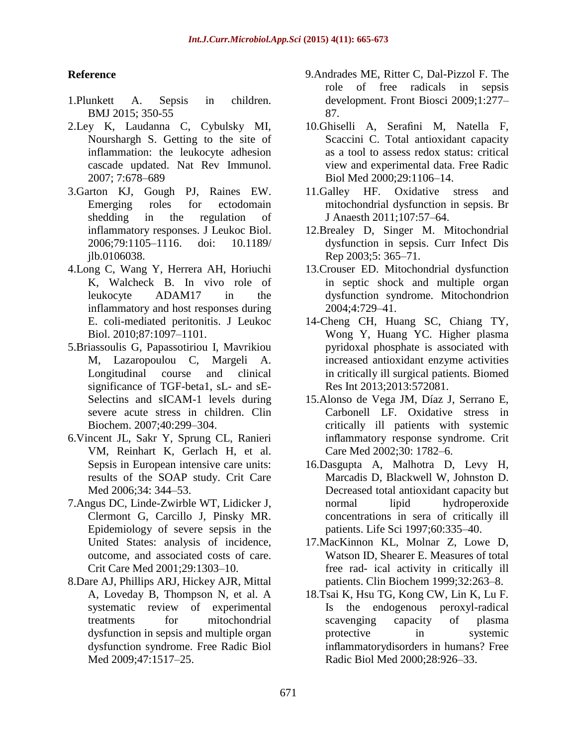### **Reference**

- 1.Plunkett A. Sepsis in children. BMJ 2015; 350-55
- 2.Ley K, Laudanna C, Cybulsky MI, Nourshargh S. Getting to the site of inflammation: the leukocyte adhesion cascade updated. Nat Rev Immunol. 2007; 7:678–689
- 3.Garton KJ, Gough PJ, Raines EW. Emerging roles for ectodomain shedding in the regulation of inflammatory responses. J Leukoc Biol. 2006;79:1105–1116. doi: 10.1189/ jlb.0106038.
- 4.Long C, Wang Y, Herrera AH, Horiuchi K, Walcheck B. In vivo role of leukocyte ADAM17 in the inflammatory and host responses during E. coli-mediated peritonitis. J Leukoc Biol. 2010;87:1097–1101.
- 5.Briassoulis G, Papassotiriou I, Mavrikiou M, Lazaropoulou C, Margeli A. Longitudinal course and clinical significance of TGF-beta1, sL- and sE-Selectins and sICAM-1 levels during severe acute stress in children. Clin Biochem. 2007;40:299–304.
- 6[.Vincent JL, Sakr Y,](http://refhub.elsevier.com/S0883-9441/(14/)00390-6/rf0005) Sprung CL, Ranieri [VM, Reinhart K, Gerlach H, et al.](http://refhub.elsevier.com/S0883-9441/(14/)00390-6/rf0005)  [Sepsis in](http://refhub.elsevier.com/S0883-9441/(14/)00390-6/rf0005) [European intensive care units:](http://refhub.elsevier.com/S0883-9441/(14/)00390-6/rf0005)  [results of the SOAP study. Crit Care](http://refhub.elsevier.com/S0883-9441/(14/)00390-6/rf0005)  [Med 2006;34:](http://refhub.elsevier.com/S0883-9441/(14/)00390-6/rf0005) [344–53.](http://refhub.elsevier.com/S0883-9441/(14/)00390-6/rf0005)
- 7[.Angus DC, Linde-Zwirble WT, Lidicker J,](http://refhub.elsevier.com/S0883-9441/(14/)00390-6/rf0010)  [Clermont G, Carcillo J, Pinsky MR.](http://refhub.elsevier.com/S0883-9441/(14/)00390-6/rf0010) [Epidemiology of severe sepsis in the](http://refhub.elsevier.com/S0883-9441/(14/)00390-6/rf0010)  [United States: analysis of incidence,](http://refhub.elsevier.com/S0883-9441/(14/)00390-6/rf0010)  [outcome,](http://refhub.elsevier.com/S0883-9441/(14/)00390-6/rf0010) [and associated costs of care.](http://refhub.elsevier.com/S0883-9441/(14/)00390-6/rf0010)  [Crit Care Med 2001;29:1303–10.](http://refhub.elsevier.com/S0883-9441/(14/)00390-6/rf0010)
- 8[.Dare AJ, Phillips ARJ, Hickey AJR, Mittal](http://refhub.elsevier.com/S0883-9441/(14/)00390-6/rf0015)  [A, Loveday B, Thompson N, et al. A](http://refhub.elsevier.com/S0883-9441/(14/)00390-6/rf0015)  [systematic](http://refhub.elsevier.com/S0883-9441/(14/)00390-6/rf0015) review [of experimental](http://refhub.elsevier.com/S0883-9441/(14/)00390-6/rf0015)  [treatments for mitochondrial](http://refhub.elsevier.com/S0883-9441/(14/)00390-6/rf0015)  [dysfunction in sepsis and](http://refhub.elsevier.com/S0883-9441/(14/)00390-6/rf0015) [multiple organ](http://refhub.elsevier.com/S0883-9441/(14/)00390-6/rf0015)  [dysfunction syndrome. Free Radic Biol](http://refhub.elsevier.com/S0883-9441/(14/)00390-6/rf0015)  [Med 2009;47:1517–25.](http://refhub.elsevier.com/S0883-9441/(14/)00390-6/rf0015)
- 9[.Andrades ME, Ritter C, Dal-Pizzol F. The](http://refhub.elsevier.com/S0883-9441/(14/)00390-6/rf0020)  [role of free radicals in sepsis](http://refhub.elsevier.com/S0883-9441/(14/)00390-6/rf0020)  [development.](http://refhub.elsevier.com/S0883-9441/(14/)00390-6/rf0020) [Front Biosci 2009;1:277–](http://refhub.elsevier.com/S0883-9441/(14/)00390-6/rf0020) [87.](http://refhub.elsevier.com/S0883-9441/(14/)00390-6/rf0020)
- 10[.Ghiselli A, Serafini M, Natella F,](http://refhub.elsevier.com/S0883-9441/(14/)00390-6/rf0025)  [Scaccini C. Total antioxidant capacity](http://refhub.elsevier.com/S0883-9441/(14/)00390-6/rf0025)  [as a tool to](http://refhub.elsevier.com/S0883-9441/(14/)00390-6/rf0025) [assess redox status: critical](http://refhub.elsevier.com/S0883-9441/(14/)00390-6/rf0025)  [view and experimental data. Free Radic](http://refhub.elsevier.com/S0883-9441/(14/)00390-6/rf0025)  [Biol Med](http://refhub.elsevier.com/S0883-9441/(14/)00390-6/rf0025) [2000;29:1106–14.](http://refhub.elsevier.com/S0883-9441/(14/)00390-6/rf0025)
- 11[.Galley HF. Oxidative stress and](http://refhub.elsevier.com/S0883-9441/(14/)00390-6/rf0030)  [mitochondrial dysfunction in sepsis. Br](http://refhub.elsevier.com/S0883-9441/(14/)00390-6/rf0030)  [J Anaesth](http://refhub.elsevier.com/S0883-9441/(14/)00390-6/rf0030) [2011;107:57–64.](http://refhub.elsevier.com/S0883-9441/(14/)00390-6/rf0030)
- 12[.Brealey D, Singer M. Mitochondrial](http://refhub.elsevier.com/S0883-9441/(14/)00390-6/rf0035)  [dysfunction in sepsis. Curr Infect Dis](http://refhub.elsevier.com/S0883-9441/(14/)00390-6/rf0035)  [Rep 2003;5:](http://refhub.elsevier.com/S0883-9441/(14/)00390-6/rf0035) [365–71.](http://refhub.elsevier.com/S0883-9441/(14/)00390-6/rf0035)
- 13[.Crouser ED. Mitochondrial dysfunction](http://refhub.elsevier.com/S0883-9441/(14/)00390-6/rf0040)  [in septic shock and multiple organ](http://refhub.elsevier.com/S0883-9441/(14/)00390-6/rf0040) [dysfunction syndrome. Mitochondrion](http://refhub.elsevier.com/S0883-9441/(14/)00390-6/rf0040)  [2004;4:729–41.](http://refhub.elsevier.com/S0883-9441/(14/)00390-6/rf0040)
- 14[-Cheng CH, Huang SC, Chiang TY,](http://refhub.elsevier.com/S0883-9441/(14/)00390-6/rf0065)  [Wong Y, Huang YC. Higher plasma](http://refhub.elsevier.com/S0883-9441/(14/)00390-6/rf0065)  [pyridoxal](http://refhub.elsevier.com/S0883-9441/(14/)00390-6/rf0065) [phosphate is associated with](http://refhub.elsevier.com/S0883-9441/(14/)00390-6/rf0065)  [increased antioxidant enzyme activities](http://refhub.elsevier.com/S0883-9441/(14/)00390-6/rf0065)  [in critically](http://refhub.elsevier.com/S0883-9441/(14/)00390-6/rf0065) [ill surgical patients. Biomed](http://refhub.elsevier.com/S0883-9441/(14/)00390-6/rf0065)  [Res Int 2013;2013:572081.](http://refhub.elsevier.com/S0883-9441/(14/)00390-6/rf0065)
- 15[.Alonso de Vega JM, Díaz J, Serrano E,](http://refhub.elsevier.com/S0883-9441/(14/)00390-6/rf0170)  [Carbonell LF. Oxidative stress in](http://refhub.elsevier.com/S0883-9441/(14/)00390-6/rf0170)  [critically ill](http://refhub.elsevier.com/S0883-9441/(14/)00390-6/rf0170) [patients with systemic](http://refhub.elsevier.com/S0883-9441/(14/)00390-6/rf0170)  [inflammatory response syndrome. Crit](http://refhub.elsevier.com/S0883-9441/(14/)00390-6/rf0170)  [Care Med 2002;30:](http://refhub.elsevier.com/S0883-9441/(14/)00390-6/rf0170) [1782–6.](http://refhub.elsevier.com/S0883-9441/(14/)00390-6/rf0170)
- 16[.Dasgupta A, Malhotra D, Levy H,](http://refhub.elsevier.com/S0883-9441/(14/)00390-6/rf0070)  [Marcadis D, Blackwell W, Johnston D.](http://refhub.elsevier.com/S0883-9441/(14/)00390-6/rf0070)  [Decreased](http://refhub.elsevier.com/S0883-9441/(14/)00390-6/rf0070) [total antioxidant capacity but](http://refhub.elsevier.com/S0883-9441/(14/)00390-6/rf0070)  [normal lipid hydroperoxide](http://refhub.elsevier.com/S0883-9441/(14/)00390-6/rf0070)  [concentrations in sera](http://refhub.elsevier.com/S0883-9441/(14/)00390-6/rf0070) [of critically ill](http://refhub.elsevier.com/S0883-9441/(14/)00390-6/rf0070)  [patients. Life Sci 1997;60:335–40.](http://refhub.elsevier.com/S0883-9441/(14/)00390-6/rf0070)
- 17[.MacKinnon KL, Molnar Z, Lowe D,](http://refhub.elsevier.com/S0883-9441/(14/)00390-6/rf0075)  [Watson ID, Shearer E. Measures of total](http://refhub.elsevier.com/S0883-9441/(14/)00390-6/rf0075)  [free rad-](http://refhub.elsevier.com/S0883-9441/(14/)00390-6/rf0075) [ical activity in critically ill](http://refhub.elsevier.com/S0883-9441/(14/)00390-6/rf0075)  [patients. Clin Biochem 1999;32:263–8.](http://refhub.elsevier.com/S0883-9441/(14/)00390-6/rf0075)
- 18[.Tsai K, Hsu TG, Kong CW, Lin K, Lu F.](http://refhub.elsevier.com/S0883-9441/(14/)00390-6/rf0080)  [Is the endogenous peroxyl-radical](http://refhub.elsevier.com/S0883-9441/(14/)00390-6/rf0080)  [scavenging](http://refhub.elsevier.com/S0883-9441/(14/)00390-6/rf0080) [capacity of plasma](http://refhub.elsevier.com/S0883-9441/(14/)00390-6/rf0080)  [protective in systemic](http://refhub.elsevier.com/S0883-9441/(14/)00390-6/rf0080)  [inflammatorydisorders in humans? Free](http://refhub.elsevier.com/S0883-9441/(14/)00390-6/rf0080) [Radic Biol Med 2000;28:926–33.](http://refhub.elsevier.com/S0883-9441/(14/)00390-6/rf0080)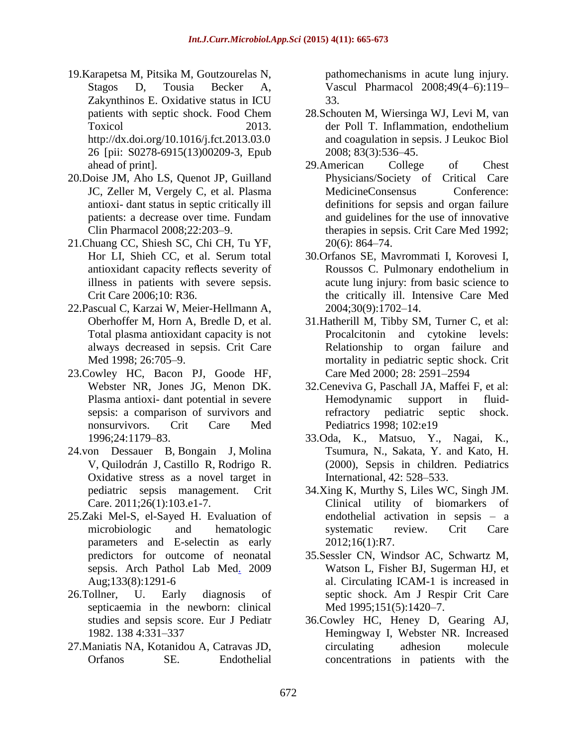- 19.Karapetsa M, Pitsika M, Goutzourelas N, Stagos D, Tousia Becker A, Zakynthinos E. Oxidative status in ICU patients with septic shock. Food Chem Toxicol 2013. [http://dx.doi.org/10.1016/j.fct.2013.03.0](http://dx.doi.org/10.1016/j.fct.2013.03.026) 26 [pii: [S0278-6915\(13\)00209-3,](http://dx.doi.org/10.1016/j.fct.2013.03.026) Epub [ahead of print\].](http://dx.doi.org/10.1016/j.fct.2013.03.026)
- 20[.Doise JM, Aho LS, Quenot JP, Guilland](http://refhub.elsevier.com/S0883-9441/(14/)00390-6/rf0085)  [JC, Zeller M, Vergely C, et al. Plasma](http://refhub.elsevier.com/S0883-9441/(14/)00390-6/rf0085)  [antioxi-](http://refhub.elsevier.com/S0883-9441/(14/)00390-6/rf0085) [dant status in septic critically ill](http://refhub.elsevier.com/S0883-9441/(14/)00390-6/rf0085)  [patients: a decrease over time. Fundam](http://refhub.elsevier.com/S0883-9441/(14/)00390-6/rf0085)  [Clin](http://refhub.elsevier.com/S0883-9441/(14/)00390-6/rf0085) [Pharmacol 2008;22:203–9.](http://refhub.elsevier.com/S0883-9441/(14/)00390-6/rf0085)
- 21[.Chuang CC, Shiesh SC, Chi CH, Tu YF,](http://refhub.elsevier.com/S0883-9441/(14/)00390-6/rf0090)  [Hor LI, Shieh CC, et al. Serum total](http://refhub.elsevier.com/S0883-9441/(14/)00390-6/rf0090)  [antioxidant](http://refhub.elsevier.com/S0883-9441/(14/)00390-6/rf0090) [capacity reflects severity of](http://refhub.elsevier.com/S0883-9441/(14/)00390-6/rf0090)  [illness in patients with severe sepsis.](http://refhub.elsevier.com/S0883-9441/(14/)00390-6/rf0090)  [Crit Care 2006;10:](http://refhub.elsevier.com/S0883-9441/(14/)00390-6/rf0090) [R36.](http://refhub.elsevier.com/S0883-9441/(14/)00390-6/rf0090)
- 22[.Pascual C, Karzai W, Meier-Hellmann A,](http://refhub.elsevier.com/S0883-9441/(14/)00390-6/rf0095)  [Oberhoffer M, Horn A, Bredle D, et al.](http://refhub.elsevier.com/S0883-9441/(14/)00390-6/rf0095)  [Total](http://refhub.elsevier.com/S0883-9441/(14/)00390-6/rf0095) [plasma antioxidant capacity is not](http://refhub.elsevier.com/S0883-9441/(14/)00390-6/rf0095)  [always decreased in sepsis. Crit Care](http://refhub.elsevier.com/S0883-9441/(14/)00390-6/rf0095)  Med 1998: 26:705-9.
- 23[.Cowley HC, Bacon PJ, Goode HF,](http://refhub.elsevier.com/S0883-9441/(14/)00390-6/rf0100)  [Webster NR, Jones JG, Menon DK.](http://refhub.elsevier.com/S0883-9441/(14/)00390-6/rf0100)  [Plasma antioxi-](http://refhub.elsevier.com/S0883-9441/(14/)00390-6/rf0100) [dant potential in severe](http://refhub.elsevier.com/S0883-9441/(14/)00390-6/rf0100)  [sepsis: a comparison of survivors and](http://refhub.elsevier.com/S0883-9441/(14/)00390-6/rf0100)  [nonsurvivors. Crit](http://refhub.elsevier.com/S0883-9441/(14/)00390-6/rf0100) [Care Med](http://refhub.elsevier.com/S0883-9441/(14/)00390-6/rf0100)  [1996;24:1179–83.](http://refhub.elsevier.com/S0883-9441/(14/)00390-6/rf0100)
- 24[.von Dessauer B,](http://www.ncbi.nlm.nih.gov/pubmed/?term=von%20Dessauer%20B%5BAuthor%5D&cauthor=true&cauthor_uid=20646907) [Bongain J,](http://www.ncbi.nlm.nih.gov/pubmed/?term=Bongain%20J%5BAuthor%5D&cauthor=true&cauthor_uid=20646907) [Molina](http://www.ncbi.nlm.nih.gov/pubmed/?term=Molina%20V%5BAuthor%5D&cauthor=true&cauthor_uid=20646907)  [V,](http://www.ncbi.nlm.nih.gov/pubmed/?term=Molina%20V%5BAuthor%5D&cauthor=true&cauthor_uid=20646907) [Quilodrán J,](http://www.ncbi.nlm.nih.gov/pubmed/?term=Quilodr%C3%A1n%20J%5BAuthor%5D&cauthor=true&cauthor_uid=20646907) [Castillo R,](http://www.ncbi.nlm.nih.gov/pubmed/?term=Castillo%20R%5BAuthor%5D&cauthor=true&cauthor_uid=20646907) [Rodrigo R.](http://www.ncbi.nlm.nih.gov/pubmed/?term=Rodrigo%20R%5BAuthor%5D&cauthor=true&cauthor_uid=20646907) Oxidative stress as a novel target in pediatric sepsis management. [Crit](http://www.ncbi.nlm.nih.gov/pubmed/20646907)  [Care.](http://www.ncbi.nlm.nih.gov/pubmed/20646907) 2011;26(1):103.e1-7.
- 25[.Zaki Mel-S,](http://www.ncbi.nlm.nih.gov/pubmed/?term=Zaki%20Mel-S%5BAuthor%5D&cauthor=true&cauthor_uid=19653728) [el-Sayed H.](http://www.ncbi.nlm.nih.gov/pubmed/?term=el-Sayed%20H%5BAuthor%5D&cauthor=true&cauthor_uid=19653728) Evaluation of microbiologic and hematologic parameters and E-selectin as early predictors for outcome of neonatal sepsis. [Arch Pathol Lab Med.](http://www.ncbi.nlm.nih.gov/pubmed/19653728) 2009 Aug;133(8):1291-6
- 26.Tollner, U. Early diagnosis of septicaemia in the newborn: clinical studies and sepsis score. Eur J Pediatr 1982. 138 4:331–337
- 27.Maniatis NA, Kotanidou A, Catravas JD, Orfanos SE. Endothelial

pathomechanisms in acute lung injury. Vascul Pharmacol 2008;49(4–6):119– 33.

- 28.Schouten M, Wiersinga WJ, Levi M, van der Poll T. Inflammation, endothelium and coagulation in sepsis. J Leukoc Biol 2008; 83(3):536–45.
- 29.American College of Chest Physicians/Society of Critical Care MedicineConsensus Conference: definitions for sepsis and organ failure and guidelines for the use of innovative therapies in sepsis. Crit Care Med 1992; 20(6): 864–74.
- 30.Orfanos SE, Mavrommati I, Korovesi I, Roussos C. Pulmonary endothelium in acute lung injury: from basic science to the critically ill. Intensive Care Med 2004;30(9):1702–14.
- 31.Hatherill M, Tibby SM, Turner C, et al: Procalcitonin and cytokine levels: Relationship to organ failure and mortality in pediatric septic shock. Crit Care Med 2000; 28: 2591–2594
- 32.Ceneviva G, Paschall JA, Maffei F, et al: Hemodynamic support in fluidrefractory pediatric septic shock. Pediatrics 1998; 102:e19
- 33.Oda, K., Matsuo, Y., Nagai, K., Tsumura, N., Sakata, Y. and Kato, H. (2000), Sepsis in children. Pediatrics International, 42: 528–533.
- 34.Xing K, Murthy S, Liles WC, Singh JM. Clinical utility of biomarkers of endothelial activation in sepsis – a systematic review. Crit Care 2012;16(1):R7.
- 35.Sessler CN, Windsor AC, Schwartz M, Watson L, Fisher BJ, Sugerman HJ, et al. Circulating ICAM-1 is increased in septic shock. Am J Respir Crit Care Med 1995;151(5):1420-7.
- 36.Cowley HC, Heney D, Gearing AJ, Hemingway I, Webster NR. Increased circulating adhesion molecule concentrations in patients with the